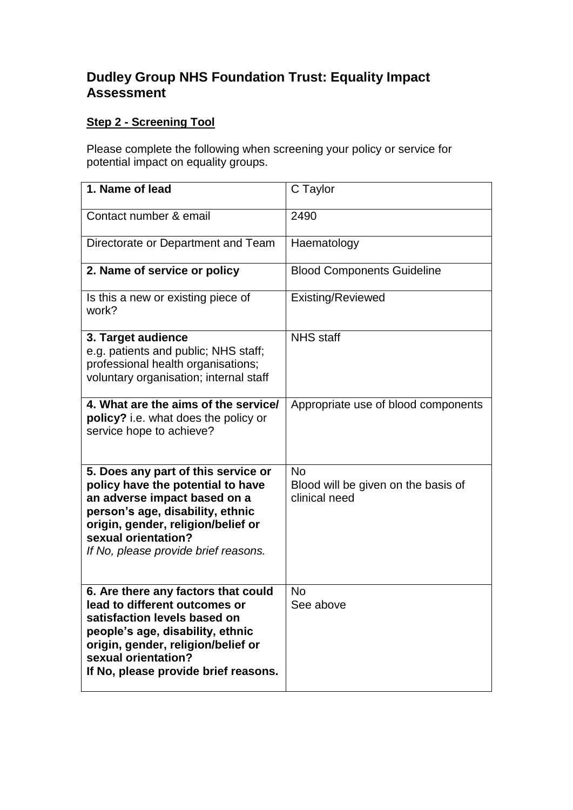## **Dudley Group NHS Foundation Trust: Equality Impact Assessment**

## **Step 2 - Screening Tool**

Please complete the following when screening your policy or service for potential impact on equality groups.

| 1. Name of lead                                                                                                                                                                                                                                   | C Taylor                                                          |
|---------------------------------------------------------------------------------------------------------------------------------------------------------------------------------------------------------------------------------------------------|-------------------------------------------------------------------|
| Contact number & email                                                                                                                                                                                                                            | 2490                                                              |
| Directorate or Department and Team                                                                                                                                                                                                                | Haematology                                                       |
| 2. Name of service or policy                                                                                                                                                                                                                      | <b>Blood Components Guideline</b>                                 |
| Is this a new or existing piece of<br>work?                                                                                                                                                                                                       | <b>Existing/Reviewed</b>                                          |
| 3. Target audience<br>e.g. patients and public; NHS staff;<br>professional health organisations;<br>voluntary organisation; internal staff                                                                                                        | <b>NHS</b> staff                                                  |
| 4. What are the aims of the service/<br>policy? i.e. what does the policy or<br>service hope to achieve?                                                                                                                                          | Appropriate use of blood components                               |
| 5. Does any part of this service or<br>policy have the potential to have<br>an adverse impact based on a<br>person's age, disability, ethnic<br>origin, gender, religion/belief or<br>sexual orientation?<br>If No, please provide brief reasons. | <b>No</b><br>Blood will be given on the basis of<br>clinical need |
| 6. Are there any factors that could<br>lead to different outcomes or<br>satisfaction levels based on<br>people's age, disability, ethnic<br>origin, gender, religion/belief or<br>sexual orientation?<br>If No, please provide brief reasons.     | <b>No</b><br>See above                                            |